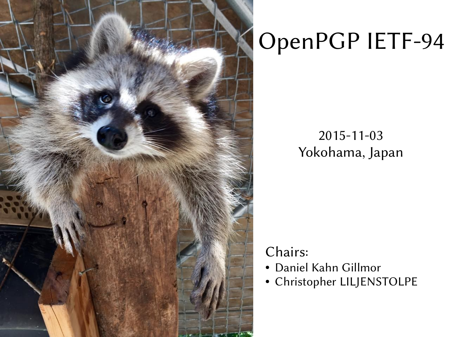

## OpenPGP IETF-94

#### 2015-11-03 Yokohama, Japan

#### Chairs:

- Daniel Kahn Gillmor
- Christopher LILJENSTOLPE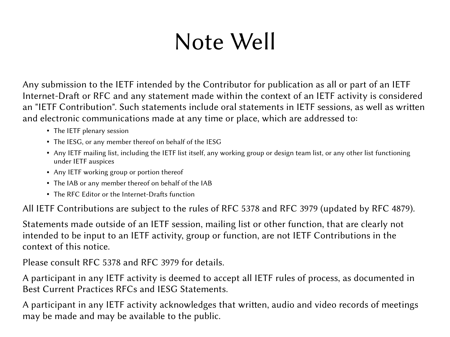## Note Well

Any submission to the IETF intended by the Contributor for publication as all or part of an IETF Internet-Draft or RFC and any statement made within the context of an IETF activity is considered an "IETF Contribution". Such statements include oral statements in IETF sessions, as well as written and electronic communications made at any time or place, which are addressed to:

- The IETF plenary session
- The IESG, or any member thereof on behalf of the IESG
- Any IETF mailing list, including the IETF list itself, any working group or design team list, or any other list functioning under IETF auspices
- Any IETF working group or portion thereof
- The IAB or any member thereof on behalf of the IAB
- The RFC Editor or the Internet-Drafts function

All IETF Contributions are subject to the rules of RFC 5378 and RFC 3979 (updated by RFC 4879).

Statements made outside of an IETF session, mailing list or other function, that are clearly not intended to be input to an IETF activity, group or function, are not IETF Contributions in the context of this notice.

Please consult RFC 5378 and RFC 3979 for details.

A participant in any IETF activity is deemed to accept all IETF rules of process, as documented in Best Current Practices RFCs and IESG Statements.

A participant in any IETF activity acknowledges that written, audio and video records of meetings may be made and may be available to the public.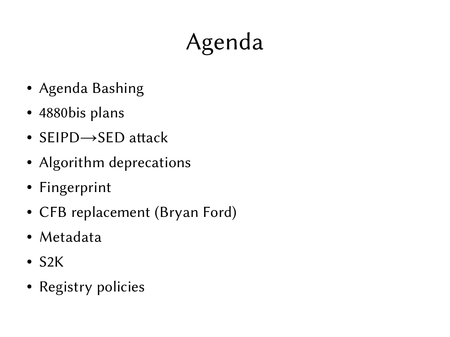# Agenda

- Agenda Bashing
- 4880bis plans
- SEIPD $\rightarrow$ SED attack
- Algorithm deprecations
- Fingerprint
- CFB replacement (Bryan Ford)
- Metadata
- $-$  S<sub>2</sub>K
- Registry policies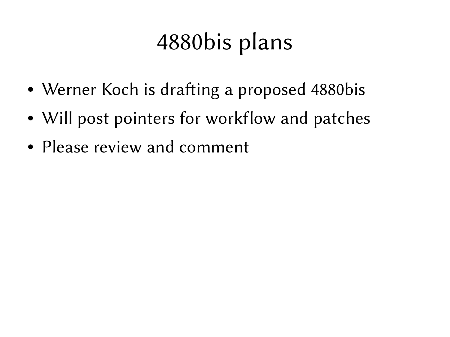## 4880bis plans

- Werner Koch is drafting a proposed 4880bis
- Will post pointers for workflow and patches
- Please review and comment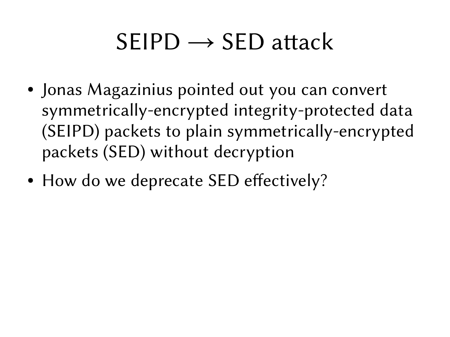### $SEIPD \longrightarrow SED$  attack

- Jonas Magazinius pointed out you can convert symmetrically-encrypted integrity-protected data (SEIPD) packets to plain symmetrically-encrypted packets (SED) without decryption
- How do we deprecate SED effectively?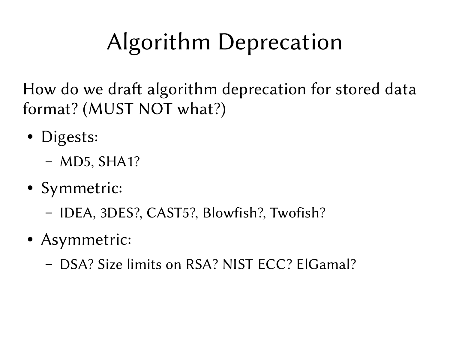# Algorithm Deprecation

How do we draft algorithm deprecation for stored data format? (MUST NOT what?)

- Digests:
	- MD5, SHA1?
- Symmetric:
	- IDEA, 3DES?, CAST5?, Blowfish?, Twofish?
- Asymmetric:
	- DSA? Size limits on RSA? NIST ECC? ElGamal?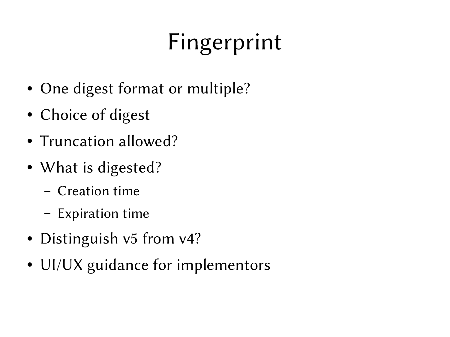# Fingerprint

- One digest format or multiple?
- Choice of digest
- Truncation allowed?
- What is digested?
	- Creation time
	- Expiration time
- Distinguish v5 from v4?
- UI/UX guidance for implementors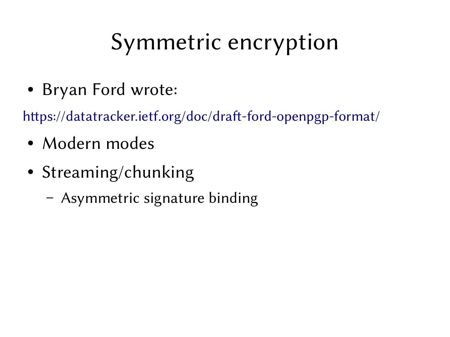## Symmetric encryption

• Bryan Ford wrote:

<https://datatracker.ietf.org/doc/draft-ford-openpgp-format/>

- Modern modes
- Streaming/chunking
	- Asymmetric signature binding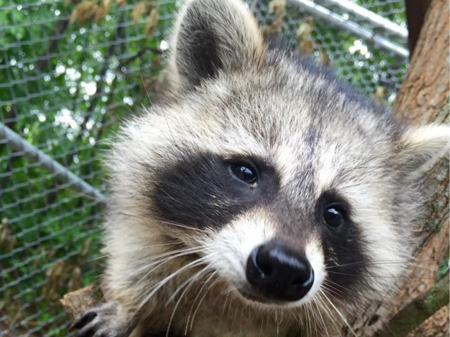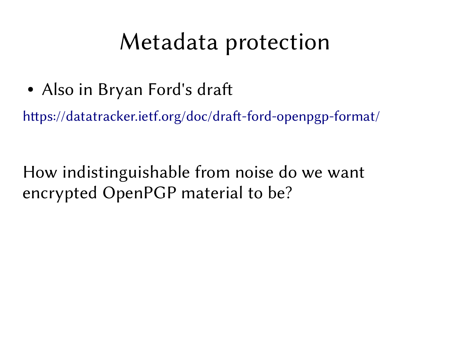#### Metadata protection

• Also in Bryan Ford's draft

<https://datatracker.ietf.org/doc/draft-ford-openpgp-format/>

How indistinguishable from noise do we want encrypted OpenPGP material to be?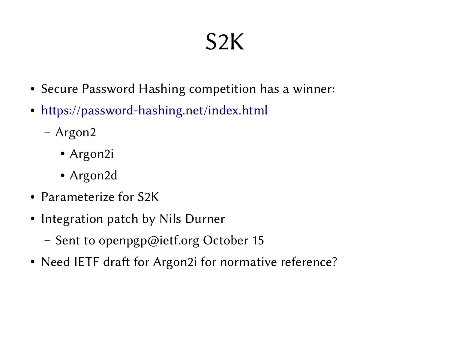### S2K

- Secure Password Hashing competition has a winner:
- <https://password-hashing.net/index.html>
	- Argon2
		- Argon2i
		- Argon2d
- Parameterize for S2K
- Integration patch by Nils Durner
	- Sent to openpgp@ietf.org October 15
- Need IETF draft for Argon2i for normative reference?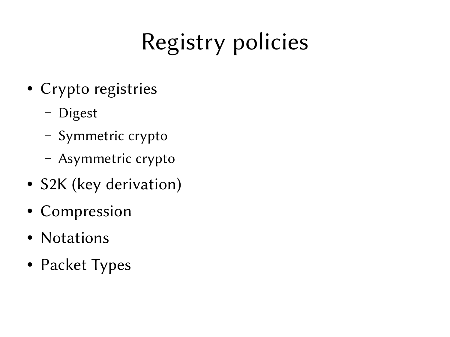# Registry policies

- Crypto registries
	- Digest
	- Symmetric crypto
	- Asymmetric crypto
- S2K (key derivation)
- Compression
- Notations
- Packet Types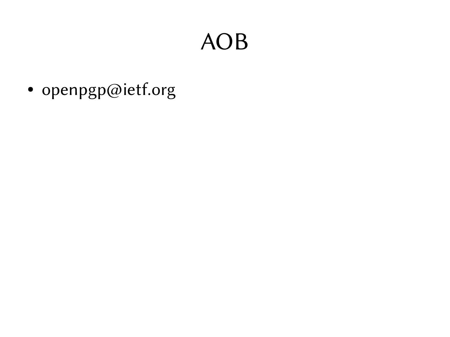### **AOB**

· openpgp@ietf.org